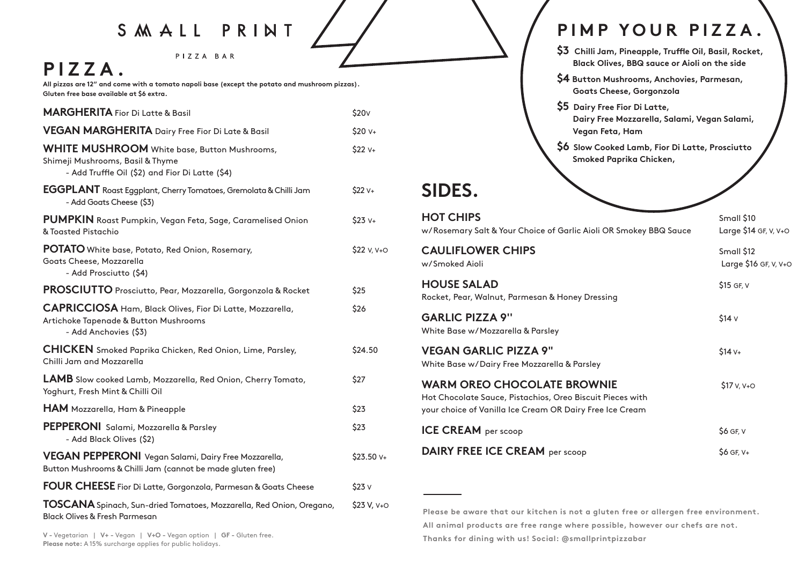# S M A L L P R I N T

PIZZA BAR

# **PIZZA.**

**All pizzas are 12" and come with a tomato napoli base (except the potato and mushroom pizzas). Gluten free base available at \$6 extra.** 

| <b>MARGHERITA</b> Fior Di Latte & Basil                                                                                                    | \$20 <sub>V</sub> |
|--------------------------------------------------------------------------------------------------------------------------------------------|-------------------|
| VEGAN MARGHERITA Dairy Free Fior Di Late & Basil                                                                                           | \$20 v+           |
| <b>WHITE MUSHROOM</b> White base, Button Mushrooms,<br>Shimeji Mushrooms, Basil & Thyme<br>- Add Truffle Oil (\$2) and Fior Di Latte (\$4) | $$22 v+$          |
| EGGPLANT Roast Eggplant, Cherry Tomatoes, Gremolata & Chilli Jam<br>- Add Goats Cheese (\$3)                                               | $$22 v+$          |
| PUMPKIN Roast Pumpkin, Vegan Feta, Sage, Caramelised Onion<br>& Toasted Pistachio                                                          | $$23 v+$          |
| <b>POTATO</b> White base, Potato, Red Onion, Rosemary,<br>Goats Cheese, Mozzarella<br>- Add Prosciutto (\$4)                               | \$22 v, v+o       |
| PROSCIUTTO Prosciutto, Pear, Mozzarella, Gorgonzola & Rocket                                                                               | \$25              |
| CAPRICCIOSA Ham, Black Olives, Fior Di Latte, Mozzarella,<br>Artichoke Tapenade & Button Mushrooms<br>- Add Anchovies (\$3)                | \$26              |
| <b>CHICKEN</b> Smoked Paprika Chicken, Red Onion, Lime, Parsley,<br>Chilli Jam and Mozzarella                                              | \$24.50           |
| LAMB Slow cooked Lamb, Mozzarella, Red Onion, Cherry Tomato,<br>Yoghurt, Fresh Mint & Chilli Oil                                           | \$27              |
| <b>HAM</b> Mozzarella, Ham & Pineapple                                                                                                     | \$23              |
| PEPPERONI Salami, Mozzarella & Parsley<br>- Add Black Olives (\$2)                                                                         | \$23              |
| <b>VEGAN PEPPERONI</b> Vegan Salami, Dairy Free Mozzarella,<br>Button Mushrooms & Chilli Jam (cannot be made gluten free)                  | \$23.50 V+        |
| FOUR CHEESE Fior Di Latte, Gorgonzola, Parmesan & Goats Cheese                                                                             | \$23v             |
| TOSCANA Spinach, Sun-dried Tomatoes, Mozzarella, Red Onion, Oregano,<br><b>Black Olives &amp; Fresh Parmesan</b>                           | \$23 V, V+O       |

#### **PIMP YOUR PIZZA.**

- \$3 Chilli Jam, Pineapple, Truffle Oil, Basil, Rocket,  **Black Olives, BBQ sauce or Aioli on the side**
- **\$4 Button Mushrooms, Anchovies, Parmesan, Goats Cheese, Gorgonzola**
- **\$5 Dairy Free Fior Di Latte, Dairy Free Mozzarella, Salami, Vegan Salami, Vegan Feta, Ham**
- **\$6 Slow Cooked Lamb, Fior Di Latte, Prosciutto Smoked Paprika Chicken,**

## **SIDES.**

| <b>HOT CHIPS</b><br>w/Rosemary Salt & Your Choice of Garlic Aioli OR Smokey BBQ Sauce                                                                       | Small \$10<br>Large \$14 GF, V, V+O |
|-------------------------------------------------------------------------------------------------------------------------------------------------------------|-------------------------------------|
| <b>CAULIFLOWER CHIPS</b><br>w/Smoked Aioli                                                                                                                  | Small \$12<br>Large \$16 GF, V, V+O |
| <b>HOUSE SALAD</b><br>Rocket, Pear, Walnut, Parmesan & Honey Dressing                                                                                       | \$15 GF, V                          |
| <b>GARLIC PIZZA 9"</b><br>White Base w/Mozzarella & Parsley                                                                                                 | \$14 <sub>V</sub>                   |
| <b>VEGAN GARLIC PIZZA 9"</b><br>White Base w/Dairy Free Mozzarella & Parsley                                                                                | $$14v+$                             |
| <b>WARM OREO CHOCOLATE BROWNIE</b><br>Hot Chocolate Sauce, Pistachios, Oreo Biscuit Pieces with<br>your choice of Vanilla Ice Cream OR Dairy Free Ice Cream | $$17 v, v +0$                       |
| <b>ICE CREAM</b> per scoop                                                                                                                                  | $$6$ GF, V                          |
| <b>DAIRY FREE ICE CREAM per scoop</b>                                                                                                                       | $$6$ GF, V+                         |

**Please be aware that our kitchen is not a gluten free or allergen free environment. All animal products are free range where possible, however our chefs are not. Thanks for dining with us! Social: @smallprintpizzabar**

**V -** Vegetarian | **V+ -** Vegan | **V+O -** Vegan option | **GF -** Gluten free. **Please note:** A 15% surcharge applies for public holidays.